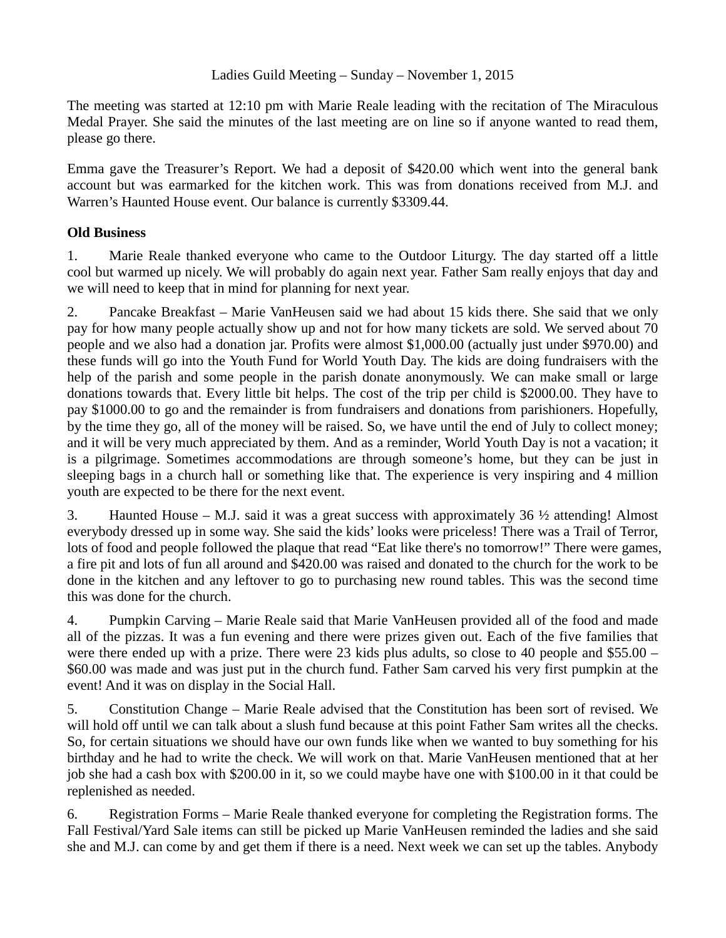The meeting was started at 12:10 pm with Marie Reale leading with the recitation of The Miraculous Medal Prayer. She said the minutes of the last meeting are on line so if anyone wanted to read them, please go there.

Emma gave the Treasurer's Report. We had a deposit of \$420.00 which went into the general bank account but was earmarked for the kitchen work. This was from donations received from M.J. and Warren's Haunted House event. Our balance is currently \$3309.44.

## **Old Business**

1. Marie Reale thanked everyone who came to the Outdoor Liturgy. The day started off a little cool but warmed up nicely. We will probably do again next year. Father Sam really enjoys that day and we will need to keep that in mind for planning for next year.

2. Pancake Breakfast – Marie VanHeusen said we had about 15 kids there. She said that we only pay for how many people actually show up and not for how many tickets are sold. We served about 70 people and we also had a donation jar. Profits were almost \$1,000.00 (actually just under \$970.00) and these funds will go into the Youth Fund for World Youth Day. The kids are doing fundraisers with the help of the parish and some people in the parish donate anonymously. We can make small or large donations towards that. Every little bit helps. The cost of the trip per child is \$2000.00. They have to pay \$1000.00 to go and the remainder is from fundraisers and donations from parishioners. Hopefully, by the time they go, all of the money will be raised. So, we have until the end of July to collect money; and it will be very much appreciated by them. And as a reminder, World Youth Day is not a vacation; it is a pilgrimage. Sometimes accommodations are through someone's home, but they can be just in sleeping bags in a church hall or something like that. The experience is very inspiring and 4 million youth are expected to be there for the next event.

3. Haunted House – M.J. said it was a great success with approximately 36  $\frac{1}{2}$  attending! Almost everybody dressed up in some way. She said the kids' looks were priceless! There was a Trail of Terror, lots of food and people followed the plaque that read "Eat like there's no tomorrow!" There were games, a fire pit and lots of fun all around and \$420.00 was raised and donated to the church for the work to be done in the kitchen and any leftover to go to purchasing new round tables. This was the second time this was done for the church.

4. Pumpkin Carving – Marie Reale said that Marie VanHeusen provided all of the food and made all of the pizzas. It was a fun evening and there were prizes given out. Each of the five families that were there ended up with a prize. There were 23 kids plus adults, so close to 40 people and \$55.00 – \$60.00 was made and was just put in the church fund. Father Sam carved his very first pumpkin at the event! And it was on display in the Social Hall.

5. Constitution Change – Marie Reale advised that the Constitution has been sort of revised. We will hold off until we can talk about a slush fund because at this point Father Sam writes all the checks. So, for certain situations we should have our own funds like when we wanted to buy something for his birthday and he had to write the check. We will work on that. Marie VanHeusen mentioned that at her job she had a cash box with \$200.00 in it, so we could maybe have one with \$100.00 in it that could be replenished as needed.

6. Registration Forms – Marie Reale thanked everyone for completing the Registration forms. The Fall Festival/Yard Sale items can still be picked up Marie VanHeusen reminded the ladies and she said she and M.J. can come by and get them if there is a need. Next week we can set up the tables. Anybody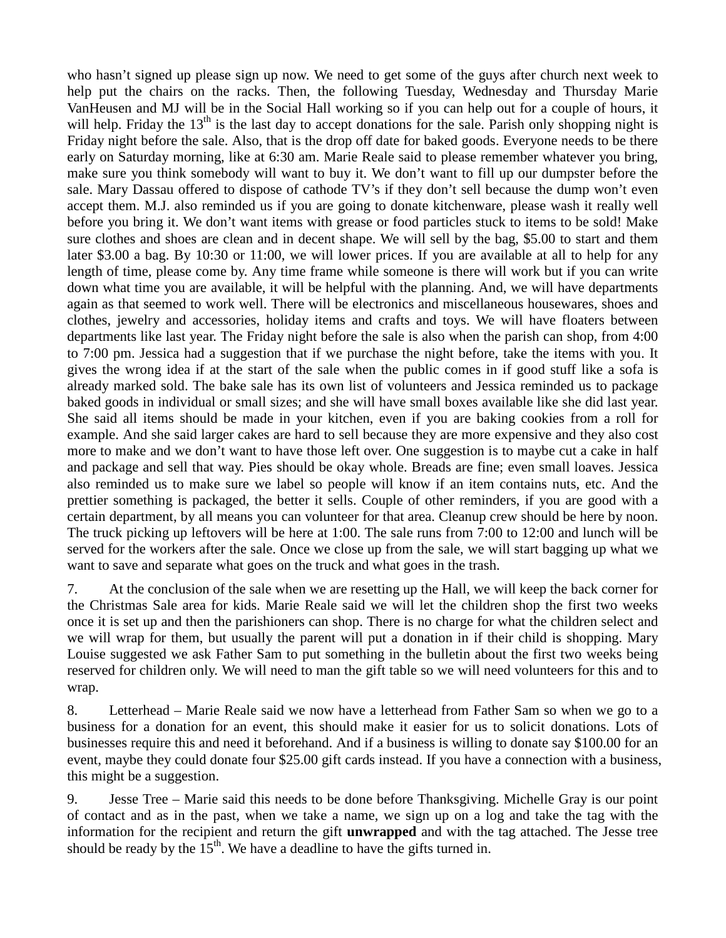who hasn't signed up please sign up now. We need to get some of the guys after church next week to help put the chairs on the racks. Then, the following Tuesday, Wednesday and Thursday Marie VanHeusen and MJ will be in the Social Hall working so if you can help out for a couple of hours, it will help. Friday the  $13<sup>th</sup>$  is the last day to accept donations for the sale. Parish only shopping night is Friday night before the sale. Also, that is the drop off date for baked goods. Everyone needs to be there early on Saturday morning, like at 6:30 am. Marie Reale said to please remember whatever you bring, make sure you think somebody will want to buy it. We don't want to fill up our dumpster before the sale. Mary Dassau offered to dispose of cathode TV's if they don't sell because the dump won't even accept them. M.J. also reminded us if you are going to donate kitchenware, please wash it really well before you bring it. We don't want items with grease or food particles stuck to items to be sold! Make sure clothes and shoes are clean and in decent shape. We will sell by the bag, \$5.00 to start and them later \$3.00 a bag. By 10:30 or 11:00, we will lower prices. If you are available at all to help for any length of time, please come by. Any time frame while someone is there will work but if you can write down what time you are available, it will be helpful with the planning. And, we will have departments again as that seemed to work well. There will be electronics and miscellaneous housewares, shoes and clothes, jewelry and accessories, holiday items and crafts and toys. We will have floaters between departments like last year. The Friday night before the sale is also when the parish can shop, from 4:00 to 7:00 pm. Jessica had a suggestion that if we purchase the night before, take the items with you. It gives the wrong idea if at the start of the sale when the public comes in if good stuff like a sofa is already marked sold. The bake sale has its own list of volunteers and Jessica reminded us to package baked goods in individual or small sizes; and she will have small boxes available like she did last year. She said all items should be made in your kitchen, even if you are baking cookies from a roll for example. And she said larger cakes are hard to sell because they are more expensive and they also cost more to make and we don't want to have those left over. One suggestion is to maybe cut a cake in half and package and sell that way. Pies should be okay whole. Breads are fine; even small loaves. Jessica also reminded us to make sure we label so people will know if an item contains nuts, etc. And the prettier something is packaged, the better it sells. Couple of other reminders, if you are good with a certain department, by all means you can volunteer for that area. Cleanup crew should be here by noon. The truck picking up leftovers will be here at 1:00. The sale runs from 7:00 to 12:00 and lunch will be served for the workers after the sale. Once we close up from the sale, we will start bagging up what we want to save and separate what goes on the truck and what goes in the trash.

7. At the conclusion of the sale when we are resetting up the Hall, we will keep the back corner for the Christmas Sale area for kids. Marie Reale said we will let the children shop the first two weeks once it is set up and then the parishioners can shop. There is no charge for what the children select and we will wrap for them, but usually the parent will put a donation in if their child is shopping. Mary Louise suggested we ask Father Sam to put something in the bulletin about the first two weeks being reserved for children only. We will need to man the gift table so we will need volunteers for this and to wrap.

8. Letterhead – Marie Reale said we now have a letterhead from Father Sam so when we go to a business for a donation for an event, this should make it easier for us to solicit donations. Lots of businesses require this and need it beforehand. And if a business is willing to donate say \$100.00 for an event, maybe they could donate four \$25.00 gift cards instead. If you have a connection with a business, this might be a suggestion.

9. Jesse Tree – Marie said this needs to be done before Thanksgiving. Michelle Gray is our point of contact and as in the past, when we take a name, we sign up on a log and take the tag with the information for the recipient and return the gift **unwrapped** and with the tag attached. The Jesse tree should be ready by the  $15<sup>th</sup>$ . We have a deadline to have the gifts turned in.